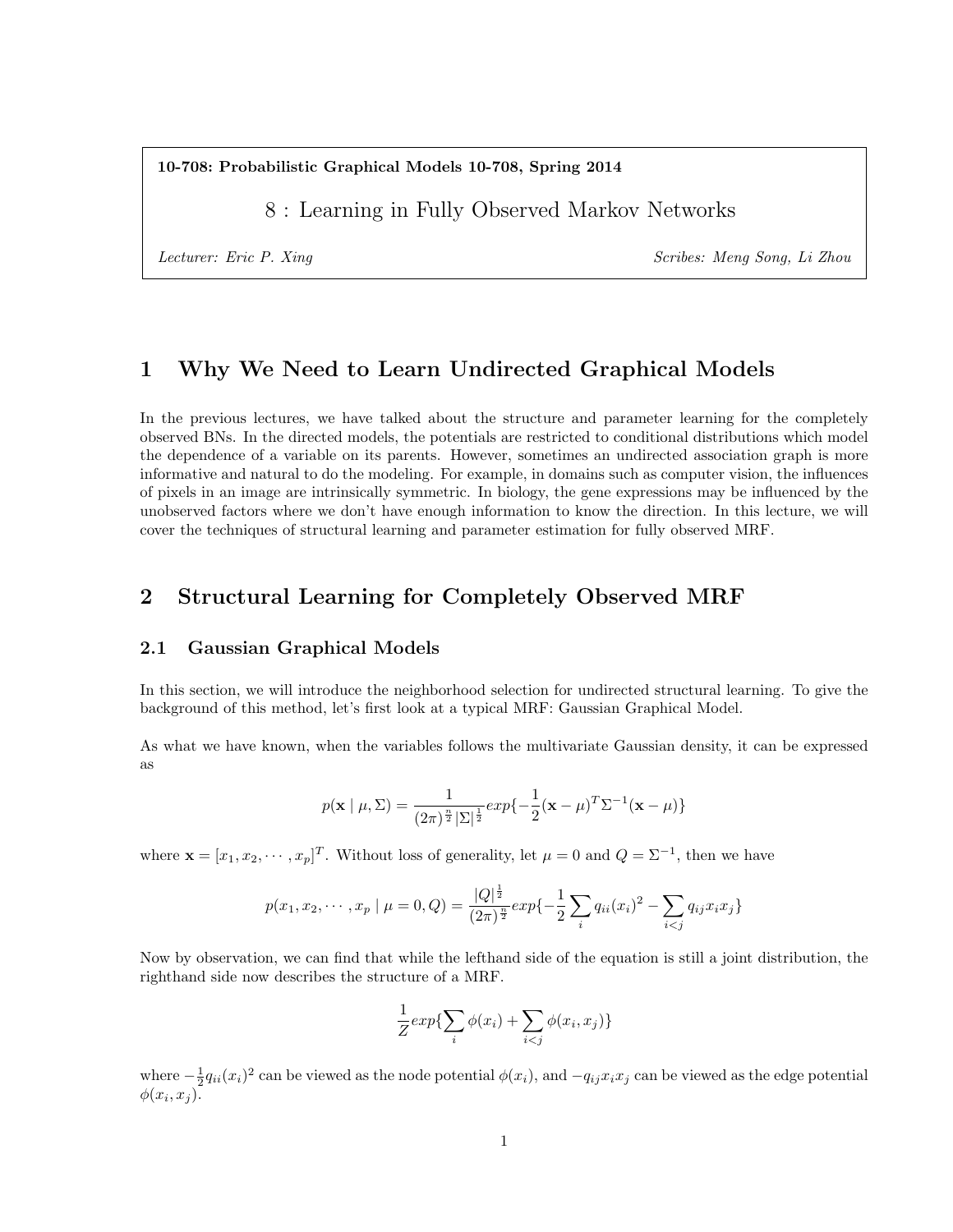10-708: Probabilistic Graphical Models 10-708, Spring 2014

8 : Learning in Fully Observed Markov Networks

Lecturer: Eric P. Xing Scribes: Meng Song, Li Zhou

# 1 Why We Need to Learn Undirected Graphical Models

In the previous lectures, we have talked about the structure and parameter learning for the completely observed BNs. In the directed models, the potentials are restricted to conditional distributions which model the dependence of a variable on its parents. However, sometimes an undirected association graph is more informative and natural to do the modeling. For example, in domains such as computer vision, the influences of pixels in an image are intrinsically symmetric. In biology, the gene expressions may be influenced by the unobserved factors where we don't have enough information to know the direction. In this lecture, we will cover the techniques of structural learning and parameter estimation for fully observed MRF.

# 2 Structural Learning for Completely Observed MRF

#### 2.1 Gaussian Graphical Models

In this section, we will introduce the neighborhood selection for undirected structural learning. To give the background of this method, let's first look at a typical MRF: Gaussian Graphical Model.

As what we have known, when the variables follows the multivariate Gaussian density, it can be expressed as

$$
p(\mathbf{x} \mid \mu, \Sigma) = \frac{1}{(2\pi)^{\frac{n}{2}} |\Sigma|^{\frac{1}{2}}} exp{-\frac{1}{2} (\mathbf{x} - \mu)^T \Sigma^{-1} (\mathbf{x} - \mu)}
$$

where  $\mathbf{x} = [x_1, x_2, \dots, x_p]^T$ . Without loss of generality, let  $\mu = 0$  and  $Q = \Sigma^{-1}$ , then we have

$$
p(x_1, x_2, \cdots, x_p \mid \mu = 0, Q) = \frac{|Q|^{\frac{1}{2}}}{(2\pi)^{\frac{n}{2}}} exp\{-\frac{1}{2} \sum_i q_{ii}(x_i)^2 - \sum_{i < j} q_{ij} x_i x_j\}
$$

Now by observation, we can find that while the lefthand side of the equation is still a joint distribution, the righthand side now describes the structure of a MRF.

$$
\frac{1}{Z} exp{\sum_{i} \phi(x_i) + \sum_{i < j} \phi(x_i, x_j) }
$$

where  $-\frac{1}{2}q_{ii}(x_i)^2$  can be viewed as the node potential  $\phi(x_i)$ , and  $-q_{ij}x_ix_j$  can be viewed as the edge potential  $\phi(x_i, x_j)$ .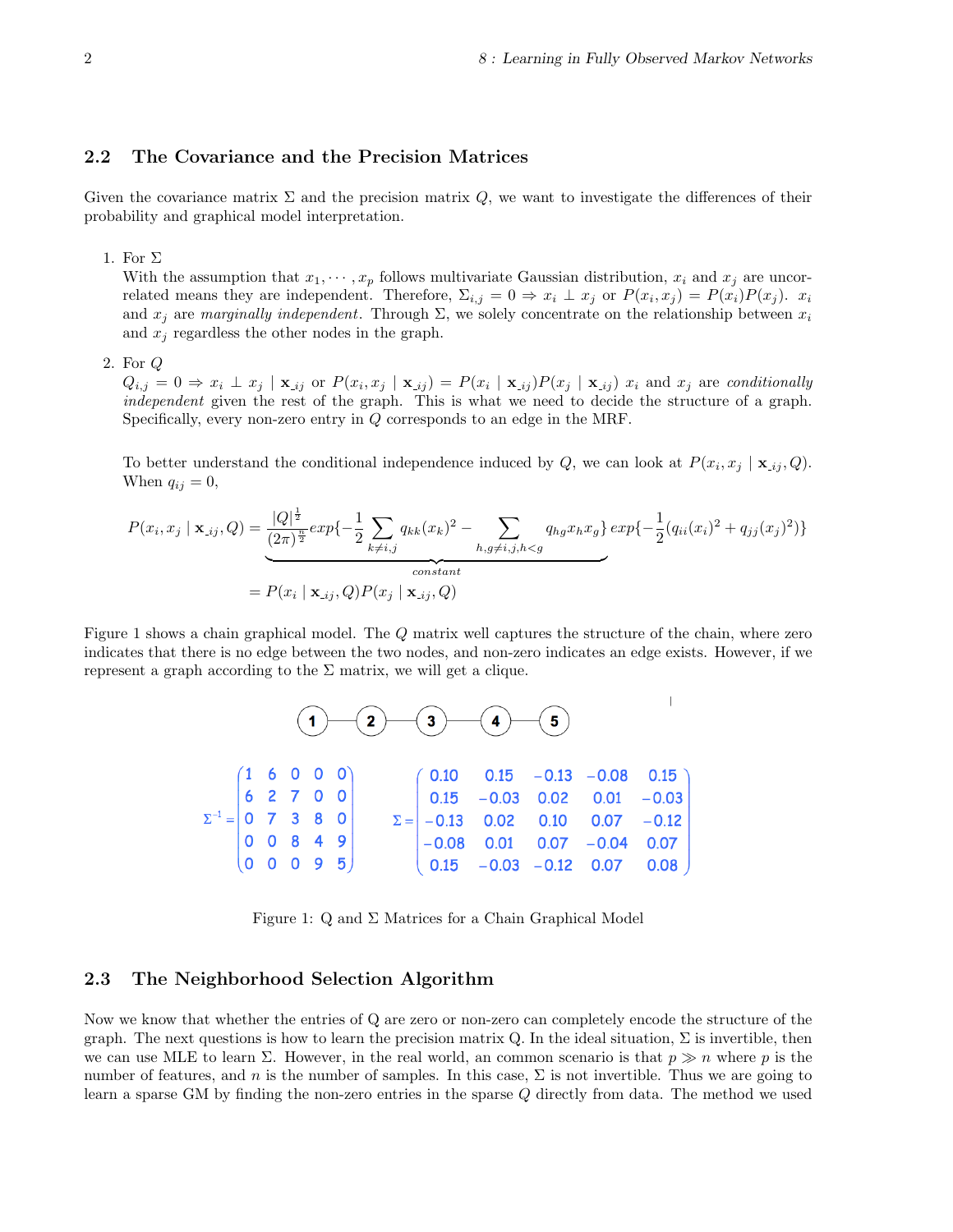#### 2.2 The Covariance and the Precision Matrices

Given the covariance matrix  $\Sigma$  and the precision matrix  $Q$ , we want to investigate the differences of their probability and graphical model interpretation.

1. For  $\Sigma$ 

With the assumption that  $x_1, \dots, x_p$  follows multivariate Gaussian distribution,  $x_i$  and  $x_j$  are uncorrelated means they are independent. Therefore,  $\Sigma_{i,j} = 0 \Rightarrow x_i \perp x_j$  or  $P(x_i, x_j) = P(x_i)P(x_j)$ .  $x_i$ and  $x_j$  are marginally independent. Through  $\Sigma$ , we solely concentrate on the relationship between  $x_i$ and  $x_i$  regardless the other nodes in the graph.

2. For Q

 $Q_{i,j} = 0 \Rightarrow x_i \perp x_j \mid \mathbf{x}_{\perp ij}$  or  $P(x_i, x_j \mid \mathbf{x}_{\perp ij}) = P(x_i \mid \mathbf{x}_{\perp ij}) P(x_j \mid \mathbf{x}_{\perp ij})$  and  $x_j$  are conditionally independent given the rest of the graph. This is what we need to decide the structure of a graph. Specifically, every non-zero entry in Q corresponds to an edge in the MRF.

To better understand the conditional independence induced by Q, we can look at  $P(x_i, x_j | \mathbf{x}_{ij}, Q)$ . When  $q_{ij} = 0$ ,

$$
P(x_i, x_j | \mathbf{x}_{\text{ij}}, Q) = \underbrace{\frac{|Q|^{\frac{1}{2}}}{(2\pi)^{\frac{n}{2}}} exp\{-\frac{1}{2} \sum_{k \neq i,j} q_{kk}(x_k)^2 - \sum_{h,g \neq i,j,h < g} q_{hg} x_h x_g\} exp\{-\frac{1}{2} (q_{ii}(x_i)^2 + q_{jj}(x_j)^2) \}
$$
\n
$$
= P(x_i | \mathbf{x}_{\text{ij}}, Q) P(x_j | \mathbf{x}_{\text{ij}}, Q)
$$

Figure 1 shows a chain graphical model. The Q matrix well captures the structure of the chain, where zero indicates that there is no edge between the two nodes, and non-zero indicates an edge exists. However, if we represent a graph according to the  $\Sigma$  matrix, we will get a clique.

|  |  |  | $(1)$ $(2)$ $(3)$ $(4)$ $(5)$                                                                                                                                                                                                                                                                                                         |  |  |                                                                    |
|--|--|--|---------------------------------------------------------------------------------------------------------------------------------------------------------------------------------------------------------------------------------------------------------------------------------------------------------------------------------------|--|--|--------------------------------------------------------------------|
|  |  |  | $\Sigma^{-1} = \begin{pmatrix} 1 & 6 & 0 & 0 & 0 \\ 6 & 2 & 7 & 0 & 0 \\ 0 & 7 & 3 & 8 & 0 \\ 0 & 0 & 8 & 4 & 9 \\ 0 & 0 & 0 & 9 & 5 \end{pmatrix} \qquad \Sigma = \begin{pmatrix} 0.10 & 0.15 & -0.13 & -0.08 & 0.15 \\ 0.15 & -0.03 & 0.02 & 0.01 & -0.03 \\ -0.13 & 0.02 & 0.10 & 0.07 & -0.12 \\ -0.08 & 0.01 & 0.07 & -0.04 & 0$ |  |  |                                                                    |
|  |  |  |                                                                                                                                                                                                                                                                                                                                       |  |  |                                                                    |
|  |  |  |                                                                                                                                                                                                                                                                                                                                       |  |  |                                                                    |
|  |  |  |                                                                                                                                                                                                                                                                                                                                       |  |  | $\begin{vmatrix} -0.08 & 0.01 & 0.07 & -0.04 & 0.07 \end{vmatrix}$ |
|  |  |  |                                                                                                                                                                                                                                                                                                                                       |  |  |                                                                    |

Figure 1: Q and  $\Sigma$  Matrices for a Chain Graphical Model

#### 2.3 The Neighborhood Selection Algorithm

Now we know that whether the entries of Q are zero or non-zero can completely encode the structure of the graph. The next questions is how to learn the precision matrix Q. In the ideal situation,  $\Sigma$  is invertible, then we can use MLE to learn  $\Sigma$ . However, in the real world, an common scenario is that  $p \gg n$  where p is the number of features, and n is the number of samples. In this case,  $\Sigma$  is not invertible. Thus we are going to learn a sparse GM by finding the non-zero entries in the sparse Q directly from data. The method we used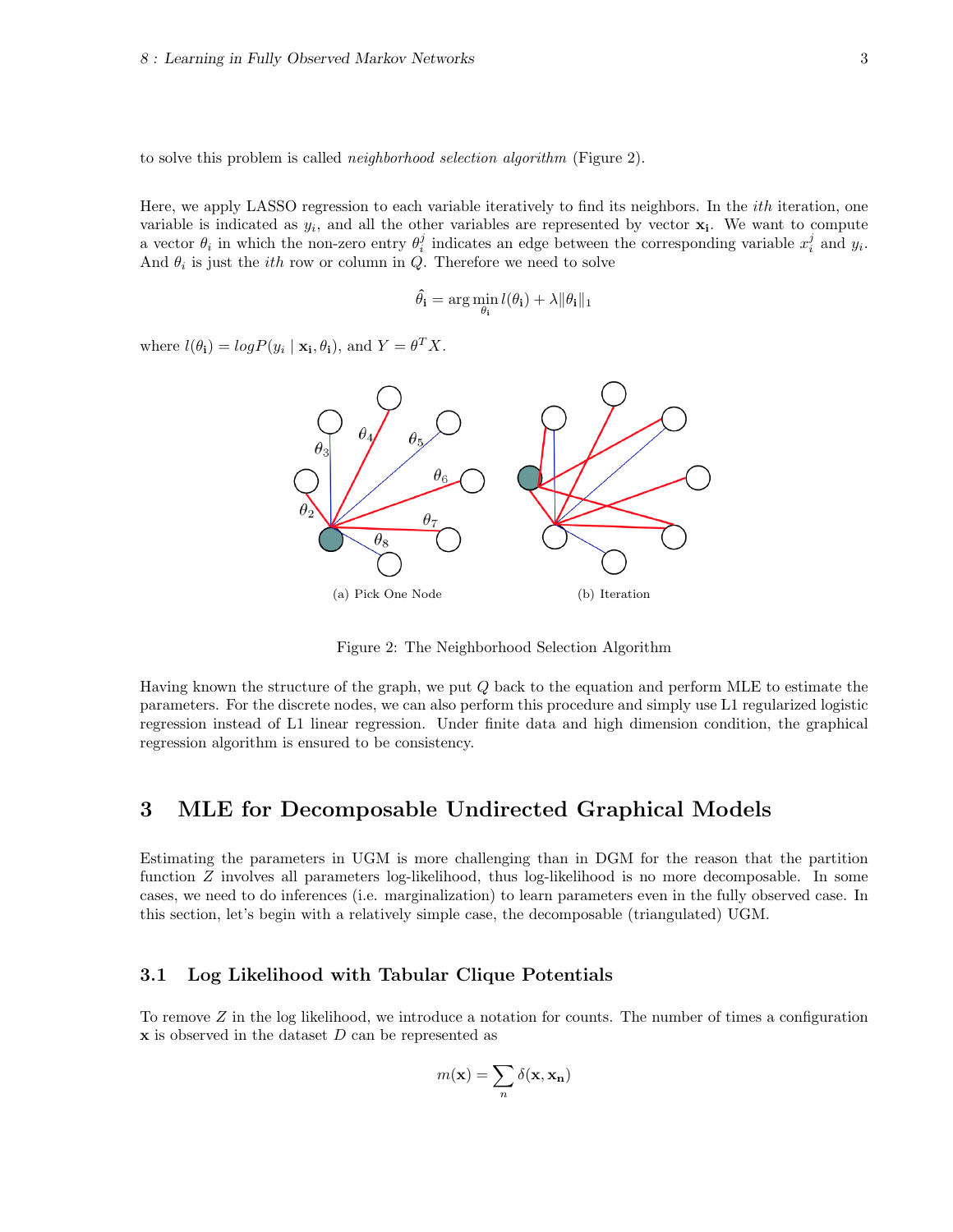to solve this problem is called *neighborhood selection algorithm* (Figure 2).

Here, we apply LASSO regression to each variable iteratively to find its neighbors. In the *ith* iteration, one variable is indicated as  $y_i$ , and all the other variables are represented by vector  $\mathbf{x}_i$ . We want to compute a vector  $\theta_i$  in which the non-zero entry  $\theta_i^j$  indicates an edge between the corresponding variable  $x_i^j$  and  $y_i$ . And  $\theta_i$  is just the *ith* row or column in Q. Therefore we need to solve

$$
\hat{\theta}_{\mathbf{i}} = \arg\min_{\theta_{\mathbf{i}}} l(\theta_{\mathbf{i}}) + \lambda \|\theta_{\mathbf{i}}\|_{1}
$$

where  $l(\theta_i) = log P(y_i | \mathbf{x_i}, \theta_i)$ , and  $Y = \theta^T X$ .



Figure 2: The Neighborhood Selection Algorithm

Having known the structure of the graph, we put Q back to the equation and perform MLE to estimate the parameters. For the discrete nodes, we can also perform this procedure and simply use L1 regularized logistic regression instead of L1 linear regression. Under finite data and high dimension condition, the graphical regression algorithm is ensured to be consistency.

### 3 MLE for Decomposable Undirected Graphical Models

Estimating the parameters in UGM is more challenging than in DGM for the reason that the partition function Z involves all parameters log-likelihood, thus log-likelihood is no more decomposable. In some cases, we need to do inferences (i.e. marginalization) to learn parameters even in the fully observed case. In this section, let's begin with a relatively simple case, the decomposable (triangulated) UGM.

### 3.1 Log Likelihood with Tabular Clique Potentials

To remove  $Z$  in the log likelihood, we introduce a notation for counts. The number of times a configuration  $x$  is observed in the dataset  $D$  can be represented as

$$
m(\mathbf{x}) = \sum_{n} \delta(\mathbf{x}, \mathbf{x_n})
$$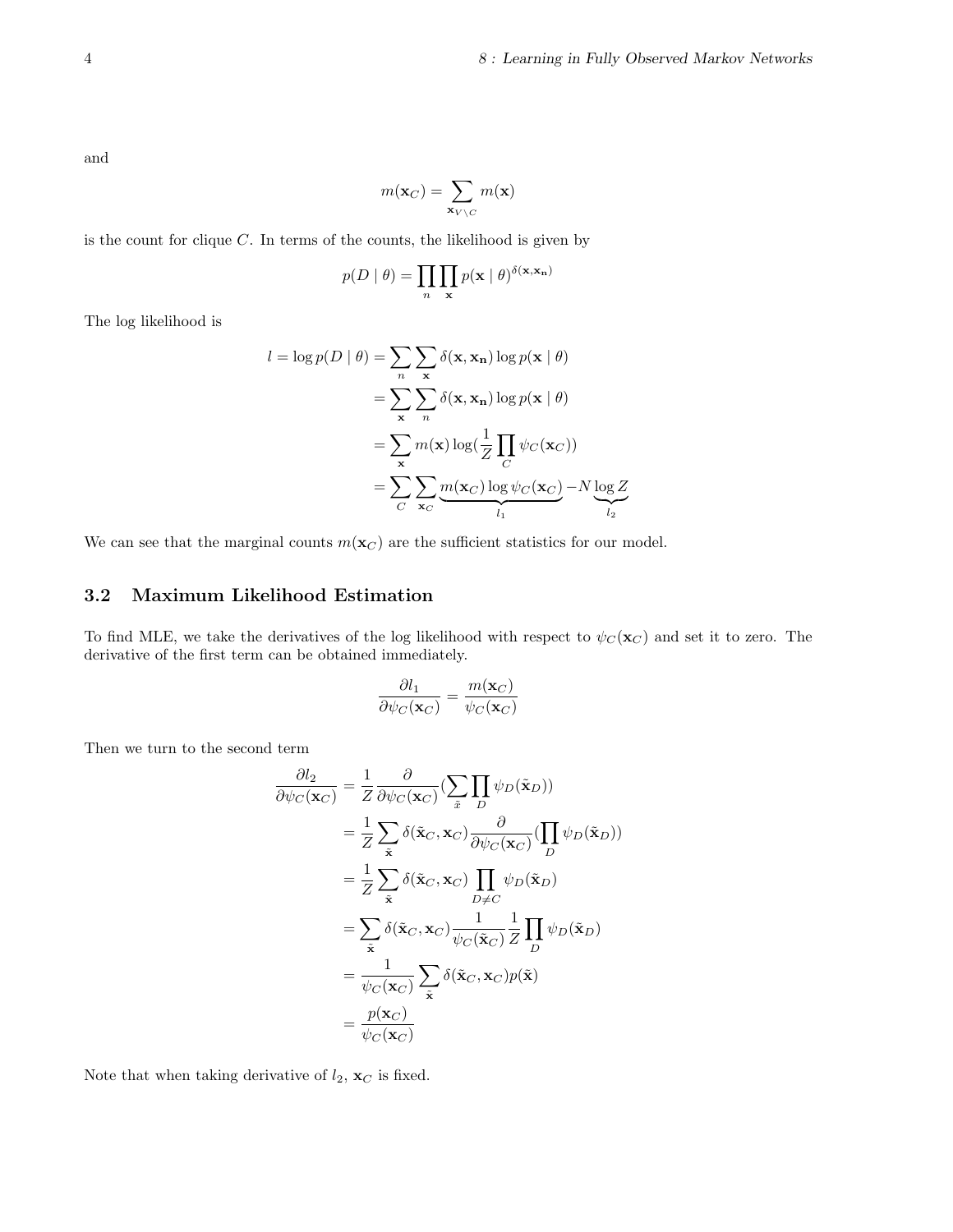and

$$
m(\mathbf{x}_C) = \sum_{\mathbf{x}_{V \setminus C}} m(\mathbf{x})
$$

is the count for clique  $C$ . In terms of the counts, the likelihood is given by

$$
p(D \mid \theta) = \prod_{n} \prod_{\mathbf{x}} p(\mathbf{x} \mid \theta)^{\delta(\mathbf{x}, \mathbf{x_n})}
$$

The log likelihood is

$$
l = \log p(D | \theta) = \sum_{n} \sum_{\mathbf{x}} \delta(\mathbf{x}, \mathbf{x_n}) \log p(\mathbf{x} | \theta)
$$
  
= 
$$
\sum_{\mathbf{x}} \sum_{n} \delta(\mathbf{x}, \mathbf{x_n}) \log p(\mathbf{x} | \theta)
$$
  
= 
$$
\sum_{\mathbf{x}} m(\mathbf{x}) \log(\frac{1}{Z} \prod_{C} \psi_C(\mathbf{x}_C))
$$
  
= 
$$
\sum_{C} \sum_{\mathbf{x}_C} \underbrace{m(\mathbf{x}_C) \log \psi_C(\mathbf{x}_C)}_{l_1} - N \underbrace{\log Z}_{l_2}
$$

We can see that the marginal counts  $m(\mathbf{x}_C)$  are the sufficient statistics for our model.

### 3.2 Maximum Likelihood Estimation

To find MLE, we take the derivatives of the log likelihood with respect to  $\psi_C(\mathbf{x}_C)$  and set it to zero. The derivative of the first term can be obtained immediately.

$$
\frac{\partial l_1}{\partial \psi_C(\mathbf{x}_C)} = \frac{m(\mathbf{x}_C)}{\psi_C(\mathbf{x}_C)}
$$

Then we turn to the second term

$$
\frac{\partial l_2}{\partial \psi_C(\mathbf{x}_C)} = \frac{1}{Z} \frac{\partial}{\partial \psi_C(\mathbf{x}_C)} \left( \sum_{\tilde{x}} \prod_D \psi_D(\tilde{\mathbf{x}}_D) \right)
$$
  
\n
$$
= \frac{1}{Z} \sum_{\tilde{\mathbf{x}}} \delta(\tilde{\mathbf{x}}_C, \mathbf{x}_C) \frac{\partial}{\partial \psi_C(\mathbf{x}_C)} \left( \prod_D \psi_D(\tilde{\mathbf{x}}_D) \right)
$$
  
\n
$$
= \frac{1}{Z} \sum_{\tilde{\mathbf{x}}} \delta(\tilde{\mathbf{x}}_C, \mathbf{x}_C) \prod_{D \neq C} \psi_D(\tilde{\mathbf{x}}_D)
$$
  
\n
$$
= \sum_{\tilde{\mathbf{x}}} \delta(\tilde{\mathbf{x}}_C, \mathbf{x}_C) \frac{1}{\psi_C(\tilde{\mathbf{x}}_C)} \frac{1}{Z} \prod_D \psi_D(\tilde{\mathbf{x}}_D)
$$
  
\n
$$
= \frac{1}{\psi_C(\mathbf{x}_C)} \sum_{\tilde{\mathbf{x}}} \delta(\tilde{\mathbf{x}}_C, \mathbf{x}_C) p(\tilde{\mathbf{x}})
$$
  
\n
$$
= \frac{p(\mathbf{x}_C)}{\psi_C(\mathbf{x}_C)}
$$

Note that when taking derivative of  $l_2$ ,  $\mathbf{x}_C$  is fixed.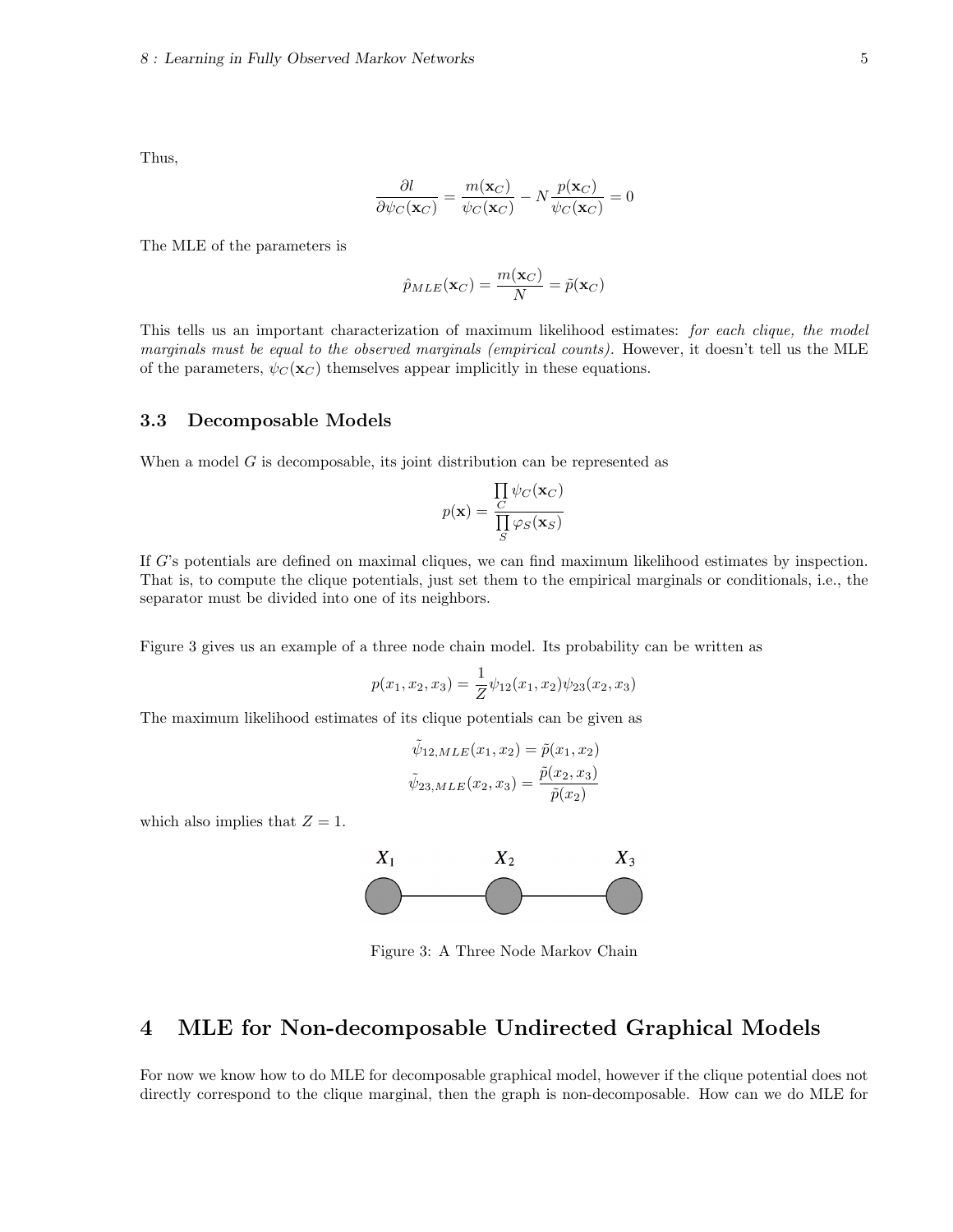Thus,

$$
\frac{\partial l}{\partial \psi_C(\mathbf{x}_C)} = \frac{m(\mathbf{x}_C)}{\psi_C(\mathbf{x}_C)} - N \frac{p(\mathbf{x}_C)}{\psi_C(\mathbf{x}_C)} = 0
$$

The MLE of the parameters is

$$
\hat{p}_{MLE}(\mathbf{x}_C) = \frac{m(\mathbf{x}_C)}{N} = \tilde{p}(\mathbf{x}_C)
$$

This tells us an important characterization of maximum likelihood estimates: for each clique, the model marginals must be equal to the observed marginals (empirical counts). However, it doesn't tell us the MLE of the parameters,  $\psi_C(\mathbf{x}_C)$  themselves appear implicitly in these equations.

### 3.3 Decomposable Models

When a model  $G$  is decomposable, its joint distribution can be represented as

$$
p(\mathbf{x}) = \frac{\prod_{C} \psi_C(\mathbf{x}_C)}{\prod_{S} \varphi_S(\mathbf{x}_S)}
$$

If G's potentials are defined on maximal cliques, we can find maximum likelihood estimates by inspection. That is, to compute the clique potentials, just set them to the empirical marginals or conditionals, i.e., the separator must be divided into one of its neighbors.

Figure 3 gives us an example of a three node chain model. Its probability can be written as

$$
p(x_1, x_2, x_3) = \frac{1}{Z} \psi_{12}(x_1, x_2) \psi_{23}(x_2, x_3)
$$

The maximum likelihood estimates of its clique potentials can be given as

$$
\tilde{\psi}_{12,MLE}(x_1, x_2) = \tilde{p}(x_1, x_2)
$$

$$
\tilde{\psi}_{23,MLE}(x_2, x_3) = \frac{\tilde{p}(x_2, x_3)}{\tilde{p}(x_2)}
$$

which also implies that  $Z = 1$ .



Figure 3: A Three Node Markov Chain

# 4 MLE for Non-decomposable Undirected Graphical Models

For now we know how to do MLE for decomposable graphical model, however if the clique potential does not directly correspond to the clique marginal, then the graph is non-decomposable. How can we do MLE for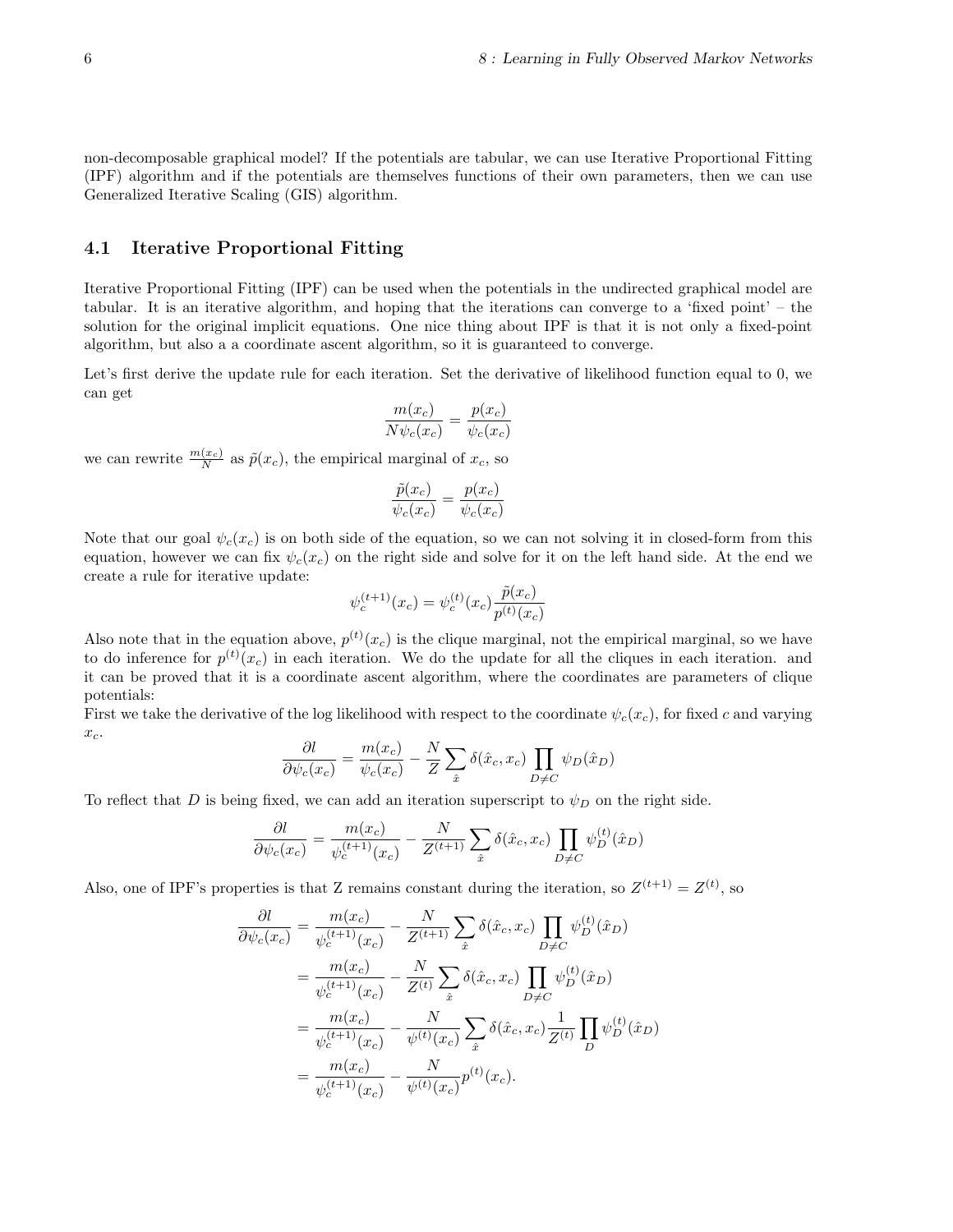non-decomposable graphical model? If the potentials are tabular, we can use Iterative Proportional Fitting (IPF) algorithm and if the potentials are themselves functions of their own parameters, then we can use Generalized Iterative Scaling (GIS) algorithm.

### 4.1 Iterative Proportional Fitting

Iterative Proportional Fitting (IPF) can be used when the potentials in the undirected graphical model are tabular. It is an iterative algorithm, and hoping that the iterations can converge to a 'fixed point' – the solution for the original implicit equations. One nice thing about IPF is that it is not only a fixed-point algorithm, but also a a coordinate ascent algorithm, so it is guaranteed to converge.

Let's first derive the update rule for each iteration. Set the derivative of likelihood function equal to 0, we can get

$$
\frac{m(x_c)}{N\psi_c(x_c)} = \frac{p(x_c)}{\psi_c(x_c)}
$$

we can rewrite  $\frac{m(x_c)}{N}$  as  $\tilde{p}(x_c)$ , the empirical marginal of  $x_c$ , so

$$
\frac{\tilde{p}(x_c)}{\psi_c(x_c)} = \frac{p(x_c)}{\psi_c(x_c)}
$$

Note that our goal  $\psi_c(x_c)$  is on both side of the equation, so we can not solving it in closed-form from this equation, however we can fix  $\psi_c(x_c)$  on the right side and solve for it on the left hand side. At the end we create a rule for iterative update:

$$
\psi_c^{(t+1)}(x_c) = \psi_c^{(t)}(x_c) \frac{\tilde{p}(x_c)}{p^{(t)}(x_c)}
$$

Also note that in the equation above,  $p^{(t)}(x_c)$  is the clique marginal, not the empirical marginal, so we have to do inference for  $p^{(t)}(x_c)$  in each iteration. We do the update for all the cliques in each iteration. and it can be proved that it is a coordinate ascent algorithm, where the coordinates are parameters of clique potentials:

First we take the derivative of the log likelihood with respect to the coordinate  $\psi_c(x_c)$ , for fixed c and varying  $x_c$ .

$$
\frac{\partial l}{\partial \psi_c(x_c)} = \frac{m(x_c)}{\psi_c(x_c)} - \frac{N}{Z} \sum_{\hat{x}} \delta(\hat{x}_c, x_c) \prod_{D \neq C} \psi_D(\hat{x}_D)
$$

To reflect that D is being fixed, we can add an iteration superscript to  $\psi_D$  on the right side.

$$
\frac{\partial l}{\partial \psi_c(x_c)} = \frac{m(x_c)}{\psi_c^{(t+1)}(x_c)} - \frac{N}{Z^{(t+1)}} \sum_{\hat{x}} \delta(\hat{x}_c, x_c) \prod_{D \neq C} \psi_D^{(t)}(\hat{x}_D)
$$

Also, one of IPF's properties is that Z remains constant during the iteration, so  $Z^{(t+1)} = Z^{(t)}$ , so

$$
\frac{\partial l}{\partial \psi_c(x_c)} = \frac{m(x_c)}{\psi_c^{(t+1)}(x_c)} - \frac{N}{Z^{(t+1)}} \sum_{\hat{x}} \delta(\hat{x}_c, x_c) \prod_{D \neq C} \psi_D^{(t)}(\hat{x}_D)
$$
  
\n
$$
= \frac{m(x_c)}{\psi_c^{(t+1)}(x_c)} - \frac{N}{Z^{(t)}} \sum_{\hat{x}} \delta(\hat{x}_c, x_c) \prod_{D \neq C} \psi_D^{(t)}(\hat{x}_D)
$$
  
\n
$$
= \frac{m(x_c)}{\psi_c^{(t+1)}(x_c)} - \frac{N}{\psi^{(t)}(x_c)} \sum_{\hat{x}} \delta(\hat{x}_c, x_c) \frac{1}{Z^{(t)}} \prod_D \psi_D^{(t)}(\hat{x}_D)
$$
  
\n
$$
= \frac{m(x_c)}{\psi_c^{(t+1)}(x_c)} - \frac{N}{\psi^{(t)}(x_c)} p^{(t)}(x_c).
$$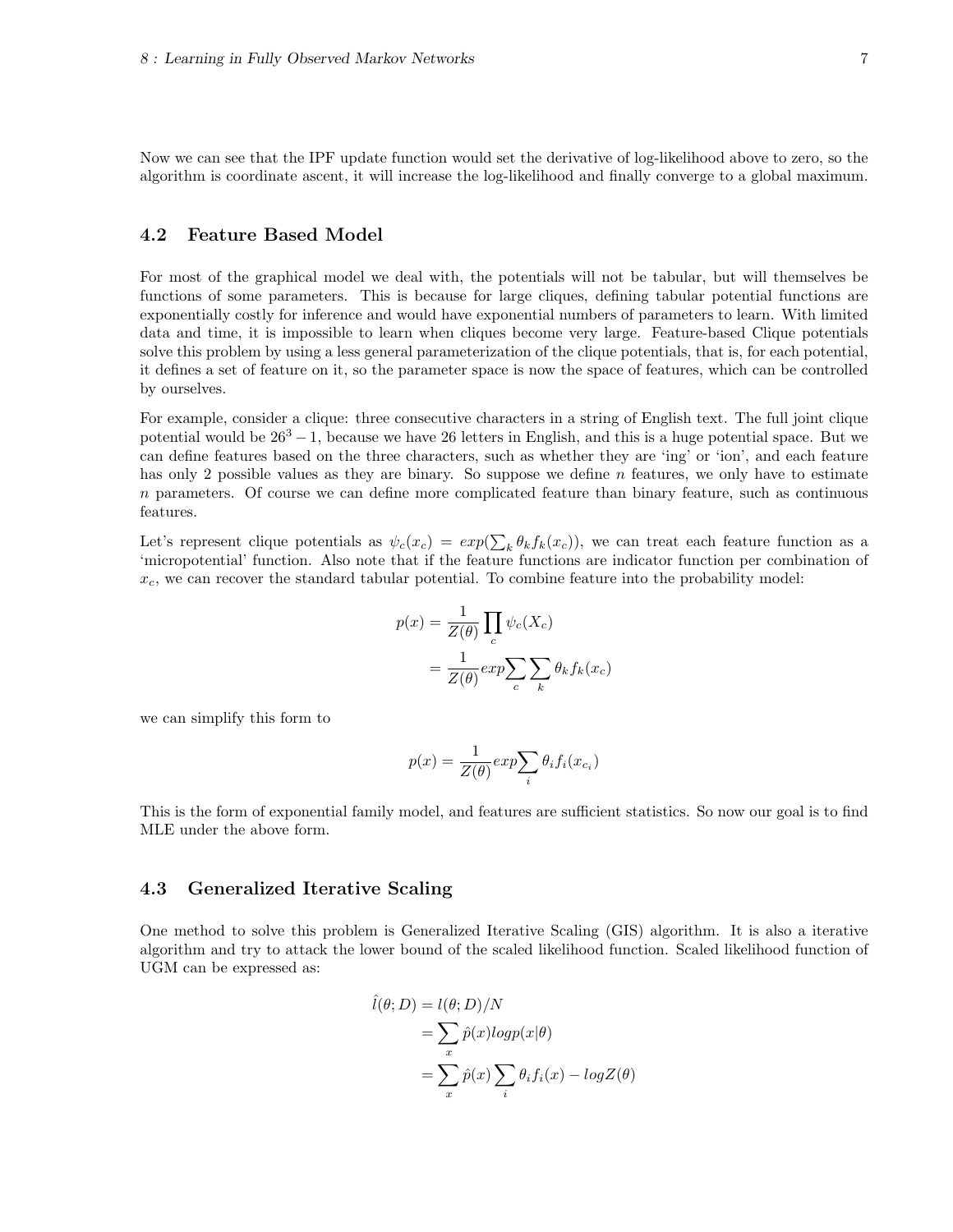Now we can see that the IPF update function would set the derivative of log-likelihood above to zero, so the algorithm is coordinate ascent, it will increase the log-likelihood and finally converge to a global maximum.

### 4.2 Feature Based Model

For most of the graphical model we deal with, the potentials will not be tabular, but will themselves be functions of some parameters. This is because for large cliques, defining tabular potential functions are exponentially costly for inference and would have exponential numbers of parameters to learn. With limited data and time, it is impossible to learn when cliques become very large. Feature-based Clique potentials solve this problem by using a less general parameterization of the clique potentials, that is, for each potential, it defines a set of feature on it, so the parameter space is now the space of features, which can be controlled by ourselves.

For example, consider a clique: three consecutive characters in a string of English text. The full joint clique potential would be  $26^3 - 1$ , because we have 26 letters in English, and this is a huge potential space. But we can define features based on the three characters, such as whether they are 'ing' or 'ion', and each feature has only 2 possible values as they are binary. So suppose we define n features, we only have to estimate n parameters. Of course we can define more complicated feature than binary feature, such as continuous features.

Let's represent clique potentials as  $\psi_c(x_c) = exp(\sum_k \theta_k f_k(x_c))$ , we can treat each feature function as a 'micropotential' function. Also note that if the feature functions are indicator function per combination of  $x_c$ , we can recover the standard tabular potential. To combine feature into the probability model:

$$
p(x) = \frac{1}{Z(\theta)} \prod_c \psi_c(X_c)
$$
  
= 
$$
\frac{1}{Z(\theta)} exp \sum_c \sum_k \theta_k f_k(x_c)
$$

we can simplify this form to

$$
p(x) = \frac{1}{Z(\theta)} exp\sum_{i} \theta_i f_i(x_{c_i})
$$

This is the form of exponential family model, and features are sufficient statistics. So now our goal is to find MLE under the above form.

#### 4.3 Generalized Iterative Scaling

One method to solve this problem is Generalized Iterative Scaling (GIS) algorithm. It is also a iterative algorithm and try to attack the lower bound of the scaled likelihood function. Scaled likelihood function of UGM can be expressed as:

$$
\hat{l}(\theta; D) = l(\theta; D)/N
$$
  
= 
$$
\sum_{x} \hat{p}(x) log p(x|\theta)
$$
  
= 
$$
\sum_{x} \hat{p}(x) \sum_{i} \theta_{i} f_{i}(x) - log Z(\theta)
$$